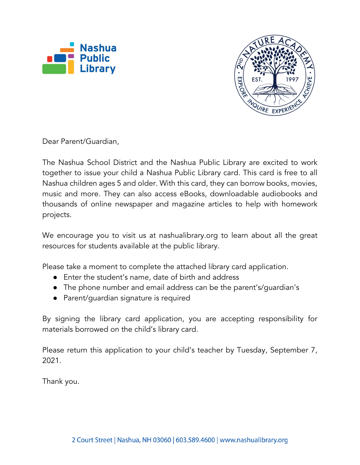



Dear Parent/Guardian,

The Nashua School District and the Nashua Public Library are excited to work together to issue your child a Nashua Public Library card. This card is free to all Nashua children ages 5 and older. With this card, they can borrow books, movies, music and more. They can also access eBooks, downloadable audiobooks and thousands of online newspaper and magazine articles to help with homework projects.

We encourage you to visit us at nashualibrary.org to learn about all the great resources for students available at the public library.

Please take a moment to complete the attached library card application.

- Enter the student's name, date of birth and address
- The phone number and email address can be the parent's/guardian's
- Parent/guardian signature is required

By signing the library card application, you are accepting responsibility for materials borrowed on the child's library card.

Please return this application to your child's teacher by Tuesday, September 7, 2021.

Thank you.